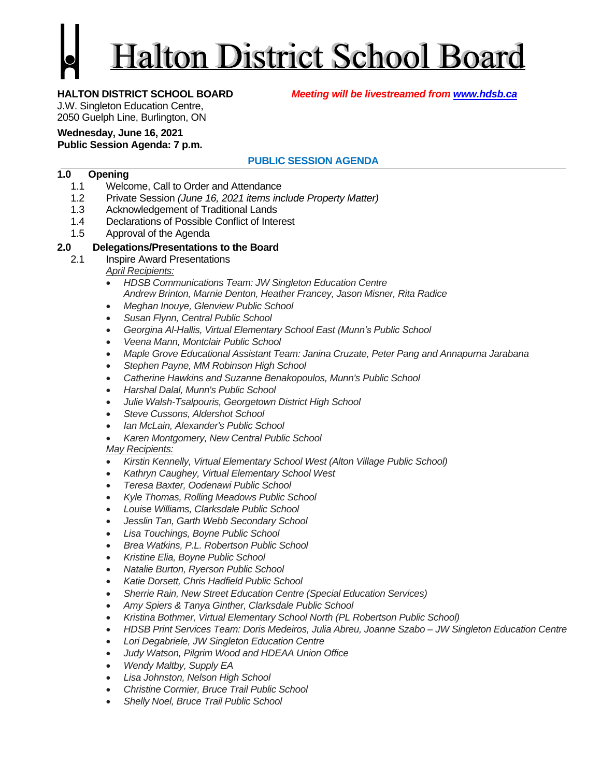# **Halton District School Board**

**HALTON DISTRICT SCHOOL BOARD** *Meeting will be livestreamed from [www.hdsb.ca](http://www.hdsb.ca/)*

J.W. Singleton Education Centre,

2050 Guelph Line, Burlington, ON

# **Wednesday, June 16, 2021**

# **Public Session Agenda: 7 p.m.**

# **PUBLIC SESSION AGENDA**

# **1.0 Opening**

- 1.1 Welcome, Call to Order and Attendance
- 1.2 Private Session *(June 16, 2021 items include Property Matter)*
- 1.3 Acknowledgement of Traditional Lands
- 1.4 Declarations of Possible Conflict of Interest
- 1.5 Approval of the Agenda

# **2.0 Delegations/Presentations to the Board**

2.1 Inspire Award Presentations

*April Recipients:*

- *HDSB Communications Team: JW Singleton Education Centre Andrew Brinton, Marnie Denton, Heather Francey, Jason Misner, Rita Radice*
- *Meghan Inouye, Glenview Public School*
- *Susan Flynn, Central Public School*
- *Georgina Al-Hallis, Virtual Elementary School East (Munn's Public School*
- *Veena Mann, Montclair Public School*
- *Maple Grove Educational Assistant Team: Janina Cruzate, Peter Pang and Annapurna Jarabana*
- *Stephen Payne, MM Robinson High School*
- *Catherine Hawkins and Suzanne Benakopoulos, Munn's Public School*
- *Harshal Dalal, Munn's Public School*
- *Julie Walsh-Tsalpouris, Georgetown District High School*
- *Steve Cussons, Aldershot School*
- *Ian McLain, Alexander's Public School*
- *Karen Montgomery, New Central Public School*

### *May Recipients:*

- *Kirstin Kennelly, Virtual Elementary School West (Alton Village Public School)*
- *Kathryn Caughey, Virtual Elementary School West*
- *Teresa Baxter, Oodenawi Public School*
- *Kyle Thomas, Rolling Meadows Public School*
- *Louise Williams, Clarksdale Public School*
- *Jesslin Tan, Garth Webb Secondary School*
- *Lisa Touchings, Boyne Public School*
- *Brea Watkins, P.L. Robertson Public School*
- *Kristine Elia, Boyne Public School*
- *Natalie Burton, Ryerson Public School*
- *Katie Dorsett, Chris Hadfield Public School*
- *Sherrie Rain, New Street Education Centre (Special Education Services)*
- *Amy Spiers & Tanya Ginther, Clarksdale Public School*
- *Kristina Bothmer, Virtual Elementary School North (PL Robertson Public School)*
- *HDSB Print Services Team: Doris Medeiros, Julia Abreu, Joanne Szabo – JW Singleton Education Centre*
- *Lori Degabriele, JW Singleton Education Centre*
- *Judy Watson, Pilgrim Wood and HDEAA Union Office*
- *Wendy Maltby, Supply EA*
- *Lisa Johnston, Nelson High School*
- *Christine Cormier, Bruce Trail Public School*
- *Shelly Noel, Bruce Trail Public School*